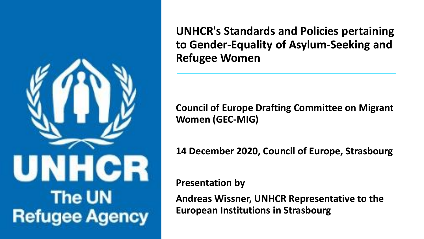

**UNHCR's Standards and Policies pertaining to Gender-Equality of Asylum-Seeking and Refugee Women**

**Council of Europe Drafting Committee on Migrant Women (GEC-MIG)**

**14 December 2020, Council of Europe, Strasbourg** 

**Presentation by** 

**Andreas Wissner, UNHCR Representative to the European Institutions in Strasbourg**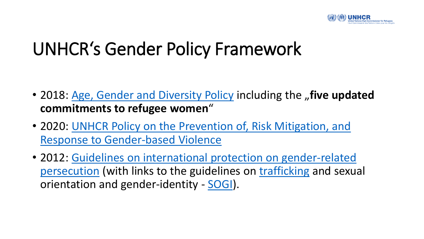

# UNHCR's Gender Policy Framework

- 2018: [Age, Gender and Diversity Policy](https://www.unhcr.org/5aa13c0c7.pdf) including the "five updated **commitments to refugee women**"
- [2020: UNHCR Policy](https://www.unhcr.org/5fa018914/unhcr-policy-prevention-risk-mitigation-response-gender-based-violence) on the Prevention of, Risk Mitigation, and Response to Gender-based Violence
- [2012: Guidelines on international protection on gender-related](https://www.unhcr.org/3d58ddef4.pdf) persecution (with links to the guidelines on [trafficking](https://www.refworld.org/cgi-bin/texis/vtx/rwmain?page=publisher&docid=443679fa4&skip=0&publisher=UNHCR&type=THEMGUIDE&querysi=guidelines international protection&searchin=title&display=10&sort=date) and sexual orientation and gender-identity - [SOGI\)](https://www.refworld.org/cgi-bin/texis/vtx/rwmain?page=publisher&docid=50348afc2&skip=0&publisher=UNHCR&type=THEMGUIDE&querysi=guidelines international protection&searchin=title&display=10&sort=date).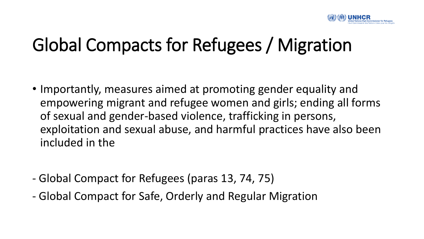

## Global Compacts for Refugees / Migration

- Importantly, measures aimed at promoting gender equality and empowering migrant and refugee women and girls; ending all forms of sexual and gender-based violence, trafficking in persons, exploitation and sexual abuse, and harmful practices have also been included in the
- Global Compact for Refugees (paras 13, 74, 75)
- Global Compact for Safe, Orderly and Regular Migration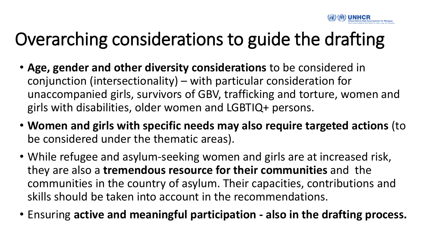

# Overarching considerations to guide the drafting

- **Age, gender and other diversity considerations** to be considered in conjunction (intersectionality) – with particular consideration for unaccompanied girls, survivors of GBV, trafficking and torture, women and girls with disabilities, older women and LGBTIQ+ persons.
- **Women and girls with specific needs may also require targeted actions** (to be considered under the thematic areas).
- While refugee and asylum-seeking women and girls are at increased risk, they are also a **tremendous resource for their communities** and the communities in the country of asylum. Their capacities, contributions and skills should be taken into account in the recommendations.
- Ensuring **active and meaningful participation - also in the drafting process.**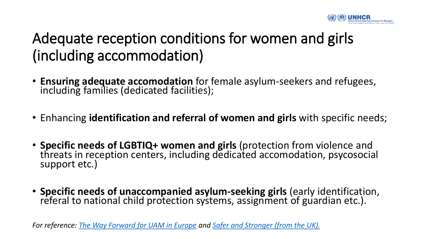

#### Adequate reception conditions for women and girls (including accommodation)

- **Ensuring adequate accomodation** for female asylum-seekers and refugees, including families (dedicated facilities);
- Enhancing **identification and referral of women and girls** with specific needs;
- **Specific needs of LGBTIQ+ women and girls** (protection from violence and threats in reception centers, including dedicated accomodation, psycosocial support etc.)
- **Specific needs of unaccompanied asylum-seeking girls** (early identification, referal to national child protection systems, assignment of guardian etc.).

*For reference: [The Way Forward for UAM in Europe](vhttps://www.unhcr.org/nl/wp-content/uploads/The-way-forward-to-strengthened-policies-and-practices-for-unaccompanied-and-separated-children-in-Europe.pdf) and [Safer and Stronger \(from the UK\).](https://www.unhcr.org/uk/protection/basic/5f2d47eb4/safer-and-stronger-experiences-of-refugee-women-resettled-to-the-uk.html)*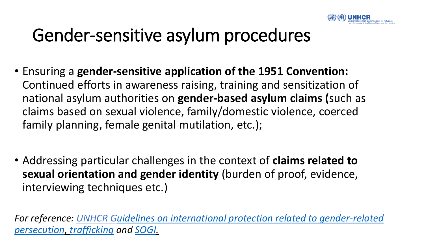

## Gender-sensitive asylum procedures

- Ensuring a **gender-sensitive application of the 1951 Convention:**  Continued efforts in awareness raising, training and sensitization of national asylum authorities on **gender-based asylum claims (**such as claims based on sexual violence, family/domestic violence, coerced family planning, female genital mutilation, etc.);
- Addressing particular challenges in the context of **claims related to sexual orientation and gender identity** (burden of proof, evidence, interviewing techniques etc.)

*[For reference: UNHCR Guidelines on international protection related to gender-related](https://www.unhcr.org/3d58ddef4.pdf)  persecution, [trafficking](https://www.refworld.org/cgi-bin/texis/vtx/rwmain?page=publisher&docid=443679fa4&skip=0&publisher=UNHCR&type=THEMGUIDE&querysi=guidelines international protection&searchin=title&display=10&sort=date) and [SOGI.](https://www.refworld.org/cgi-bin/texis/vtx/rwmain?page=publisher&docid=50348afc2&skip=0&publisher=UNHCR&type=THEMGUIDE&querysi=guidelines international protection&searchin=title&display=10&sort=date)*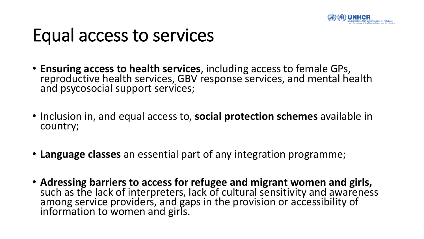

#### Equal access to services

- **Ensuring access to health services**, including access to female GPs, reproductive health services, GBV response services, and mental health and psycosocial support services;
- Inclusion in, and equal access to, **social protection schemes** available in country;
- **Language classes** an essential part of any integration programme;
- **Adressing barriers to access for refugee and migrant women and girls,**  such as the lack of interpreters, lack of cultural sensitivity and awareness among service providers, and gaps in the provision or accessibility of information to women and girls.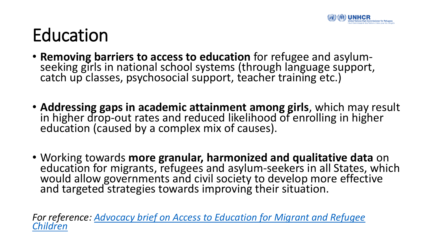

## Education

- **Removing barriers to access to education** for refugee and asylumseeking girls in national school systems (through language support, catch up classes, psychosocial support, teacher training etc.)
- **Addressing gaps in academic attainment among girls**, which may result in higher drop-out rates and reduced likelihood of enrolling in higher education (caused by a complex mix of causes).
- Working towards **more granular, harmonized and qualitative data** on education for migrants, refugees and asylum-seekers in all States, which would allow governments and civil society to develop more effective and targeted strategies towards improving their situation.

*For [reference: Advocacy brief on Access to Education for Migrant and Refugee](file:///C:/Users/DULIN/Downloads/Access to education europe-20.pdf) Children*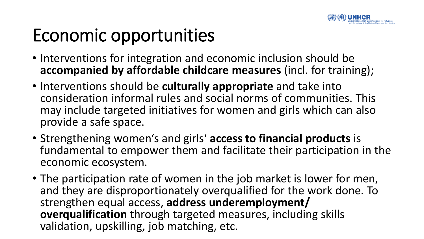

# Economic opportunities

- Interventions for integration and economic inclusion should be **accompanied by affordable childcare measures** (incl. for training);
- Interventions should be **culturally appropriate** and take into consideration informal rules and social norms of communities. This may include targeted initiatives for women and girls which can also provide a safe space.
- Strengthening women's and girls' **access to financial products** is fundamental to empower them and facilitate their participation in the economic ecosystem.
- The participation rate of women in the job market is lower for men, and they are disproportionately overqualified for the work done. To strengthen equal access, **address underemployment/ overqualification** through targeted measures, including skills validation, upskilling, job matching, etc.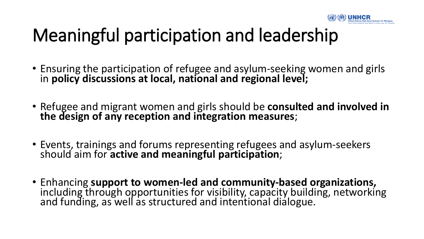

# Meaningful participation and leadership

- Ensuring the participation of refugee and asylum-seeking women and girls in **policy discussions at local, national and regional level;**
- Refugee and migrant women and girls should be **consulted and involved in the design of any reception and integration measures**;
- Events, trainings and forums representing refugees and asylum-seekers should aim for **active and meaningful participation**;
- Enhancing **support to women-led and community-based organizations,**  including through opportunities for visibility, capacity building, networking and funding, as well as structured and intentional dialogue.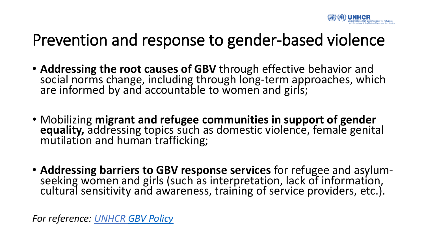

#### Prevention and response to gender-based violence

- **Addressing the root causes of GBV** through effective behavior and social norms change, including through long-term approaches, which are informed by and accountable to women and girls;
- Mobilizing **migrant and refugee communities in support of gender equality,** addressing topics such as domestic violence, female genital mutilation and human trafficking;
- **Addressing barriers to GBV response services** for refugee and asylumseeking women and girls (such as interpretation, lack of information, cultural sensitivity and awareness, training of service providers, etc.).

*For reference: UNHCR [GBV Policy](https://www.unhcr.org/5fa018914/unhcr-policy-prevention-risk-mitigation-response-gender-based-violence)*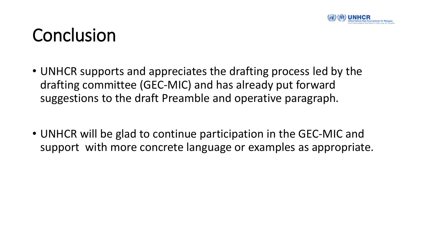

#### Conclusion

- UNHCR supports and appreciates the drafting process led by the drafting committee (GEC-MIC) and has already put forward suggestions to the draft Preamble and operative paragraph.
- UNHCR will be glad to continue participation in the GEC-MIC and support with more concrete language or examples as appropriate.